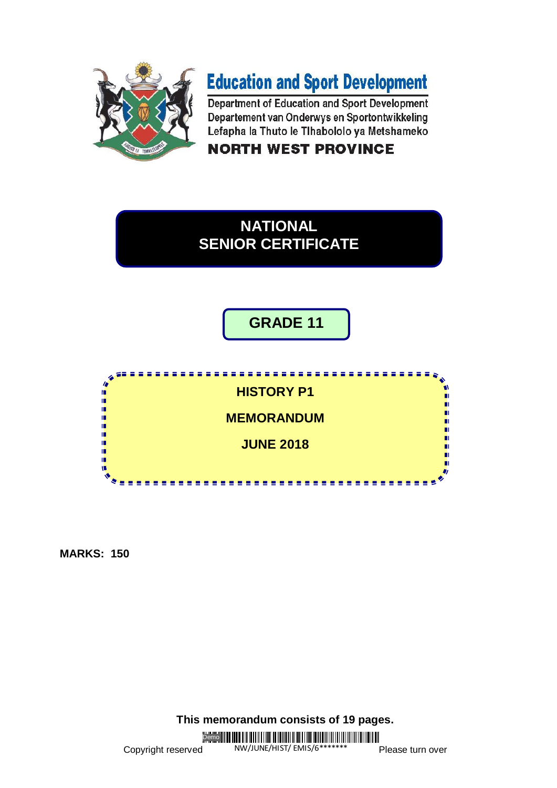

# **Education and Sport Development**

Department of Education and Sport Development Departement van Onderwys en Sportontwikkeling Lefapha la Thuto le Tihabololo ya Metshameko

**NORTH WEST PROVINCE** 

# **NATIONAL SENIOR CERTIFICATE**

# **GRADE 11**



**MARKS: 150**

**This memorandum consists of 19 pages.**

Demo<sup>III</sup>

Copyright reserved NW/JUNE/HIST/ EMIS/6\*\*\*\*\*\*\* Please turn over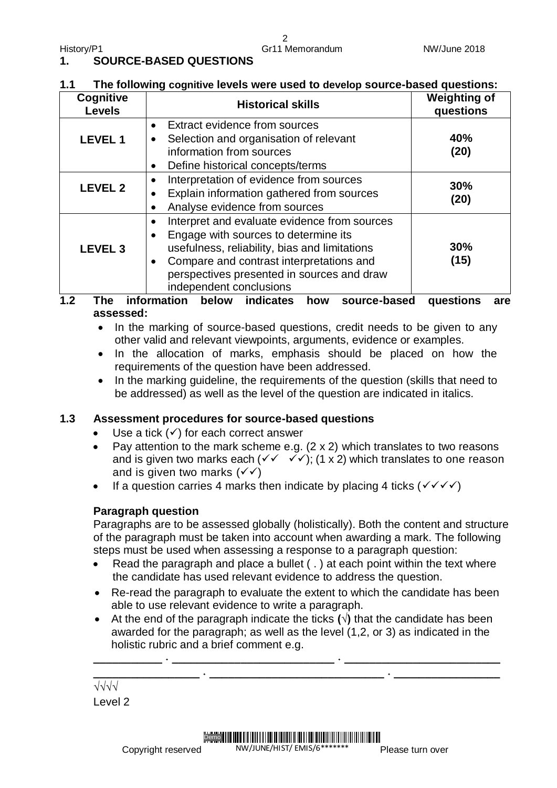#### **1. SOURCE-BASED QUESTIONS**

#### **1.1 The following cognitive levels were used to develop source-based questions:**

| <b>Cognitive</b><br><b>Levels</b> | <b>Historical skills</b>                                                                                                                                                                                                                                                                          | <b>Weighting of</b><br>questions |
|-----------------------------------|---------------------------------------------------------------------------------------------------------------------------------------------------------------------------------------------------------------------------------------------------------------------------------------------------|----------------------------------|
| <b>LEVEL 1</b>                    | <b>Extract evidence from sources</b><br>$\bullet$<br>Selection and organisation of relevant<br>$\bullet$<br>information from sources<br>Define historical concepts/terms                                                                                                                          | 40%<br>(20)                      |
| <b>LEVEL 2</b>                    | Interpretation of evidence from sources<br>$\bullet$<br>Explain information gathered from sources<br>$\bullet$<br>Analyse evidence from sources<br>$\bullet$                                                                                                                                      | 30%<br>(20)                      |
| <b>LEVEL 3</b>                    | Interpret and evaluate evidence from sources<br>$\bullet$<br>Engage with sources to determine its<br>$\bullet$<br>usefulness, reliability, bias and limitations<br>Compare and contrast interpretations and<br>$\bullet$<br>perspectives presented in sources and draw<br>independent conclusions | <b>30%</b><br>(15)               |

#### **1.2 The information below indicates how source-based questions are assessed:**

- In the marking of source-based questions, credit needs to be given to any other valid and relevant viewpoints, arguments, evidence or examples.
- In the allocation of marks, emphasis should be placed on how the requirements of the question have been addressed.
- In the marking guideline, the requirements of the question (skills that need to be addressed) as well as the level of the question are indicated in italics.

#### **1.3 Assessment procedures for source-based questions**

- Use a tick  $(\checkmark)$  for each correct answer
- Pay attention to the mark scheme e.g.  $(2 \times 2)$  which translates to two reasons and is given two marks each  $(\sqrt{2} \sqrt{2})$ : (1 x 2) which translates to one reason and is given two marks  $(\checkmark)$
- If a question carries 4 marks then indicate by placing 4 ticks ( $\checkmark$   $\checkmark$   $\checkmark$ )

#### **Paragraph question**

Paragraphs are to be assessed globally (holistically). Both the content and structure of the paragraph must be taken into account when awarding a mark. The following steps must be used when assessing a response to a paragraph question:

- Read the paragraph and place a bullet  $( \cdot )$  at each point within the text where the candidate has used relevant evidence to address the question.
- Re-read the paragraph to evaluate the extent to which the candidate has been able to use relevant evidence to write a paragraph.
- At the end of the paragraph indicate the ticks **(√)** that the candidate has been awarded for the paragraph; as well as the level (1,2, or 3) as indicated in the holistic rubric and a brief comment e.g.

**\_\_\_\_\_\_\_\_\_\_\_ ˖ \_\_\_\_\_\_\_\_\_\_\_\_\_\_\_\_\_\_\_\_\_\_\_\_\_\_ ˖ \_\_\_\_\_\_\_\_\_\_\_\_\_\_\_\_\_\_\_\_\_\_\_\_\_ \_\_\_\_\_\_\_\_\_\_\_\_\_\_\_\_\_ ˖ \_\_\_\_\_\_\_\_\_\_\_\_\_\_\_\_\_\_\_\_\_\_\_\_\_\_\_\_ ˖ \_\_\_\_\_\_\_\_\_\_\_\_\_\_\_\_\_**

**√√√√** Level 2

Copyright reserved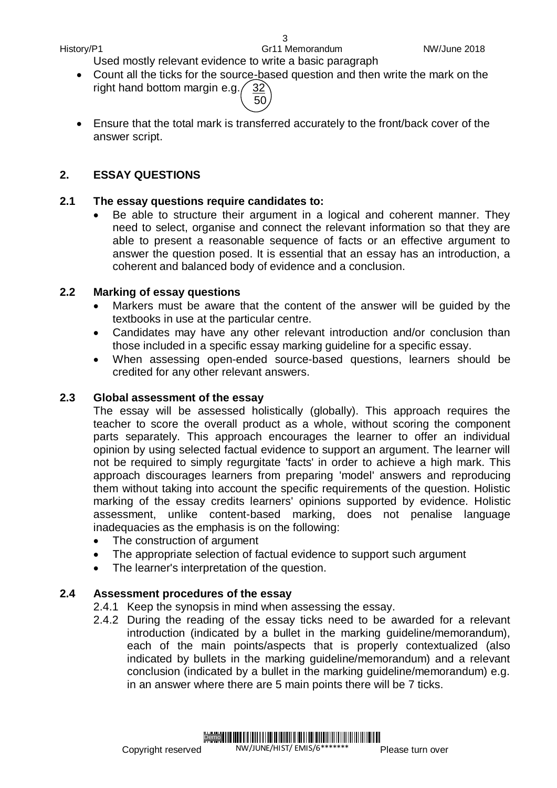Used mostly relevant evidence to write a basic paragraph

- Count all the ticks for the source-based question and then write the mark on the right hand bottom margin e.g.  $\sqrt{32}$ 
	- $\sim$  50
- Ensure that the total mark is transferred accurately to the front/back cover of the answer script.

#### **2. ESSAY QUESTIONS**

#### **2.1 The essay questions require candidates to:**

 Be able to structure their argument in a logical and coherent manner. They need to select, organise and connect the relevant information so that they are able to present a reasonable sequence of facts or an effective argument to answer the question posed. It is essential that an essay has an introduction, a coherent and balanced body of evidence and a conclusion.

#### **2.2 Marking of essay questions**

- Markers must be aware that the content of the answer will be guided by the textbooks in use at the particular centre.
- Candidates may have any other relevant introduction and/or conclusion than those included in a specific essay marking guideline for a specific essay.
- When assessing open-ended source-based questions, learners should be credited for any other relevant answers.

#### **2.3 Global assessment of the essay**

The essay will be assessed holistically (globally). This approach requires the teacher to score the overall product as a whole, without scoring the component parts separately. This approach encourages the learner to offer an individual opinion by using selected factual evidence to support an argument. The learner will not be required to simply regurgitate 'facts' in order to achieve a high mark. This approach discourages learners from preparing 'model' answers and reproducing them without taking into account the specific requirements of the question. Holistic marking of the essay credits learners' opinions supported by evidence. Holistic assessment, unlike content-based marking, does not penalise language inadequacies as the emphasis is on the following:

- The construction of argument
- The appropriate selection of factual evidence to support such argument
- The learner's interpretation of the question.

#### **2.4 Assessment procedures of the essay**

- 2.4.1 Keep the synopsis in mind when assessing the essay.
- 2.4.2 During the reading of the essay ticks need to be awarded for a relevant introduction (indicated by a bullet in the marking guideline/memorandum), each of the main points/aspects that is properly contextualized (also indicated by bullets in the marking guideline/memorandum) and a relevant conclusion (indicated by a bullet in the marking guideline/memorandum) e.g. in an answer where there are 5 main points there will be 7 ticks.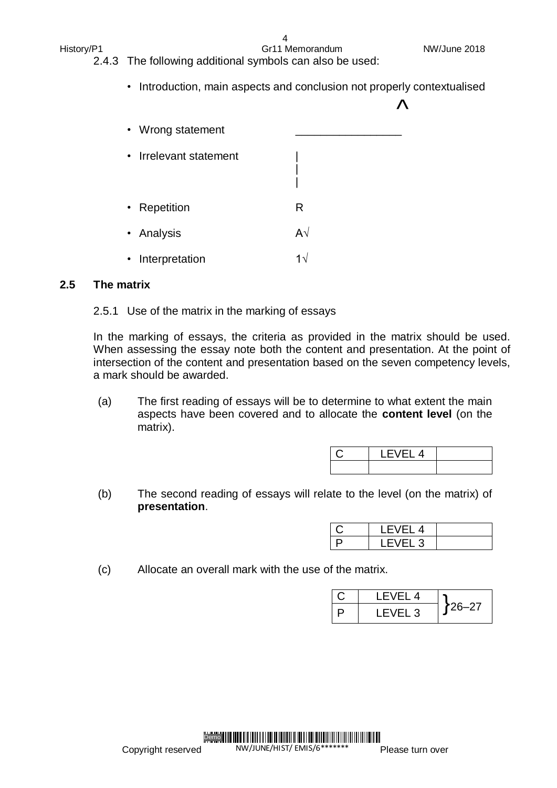| NW/June 2018 |
|--------------|
|--------------|

History/P1 Gr11 Memorandum

#### 4

- 2.4.3 The following additional symbols can also be used:
	- Introduction, main aspects and conclusion not properly contextualised

| • Wrong statement      |                |  |
|------------------------|----------------|--|
| • Irrelevant statement |                |  |
| • Repetition           | R              |  |
| • Analysis             | A $\sqrt{ }$   |  |
| • Interpretation       | 1 <sup>2</sup> |  |

#### **2.5 The matrix**

#### 2.5.1 Use of the matrix in the marking of essays

In the marking of essays, the criteria as provided in the matrix should be used. When assessing the essay note both the content and presentation. At the point of intersection of the content and presentation based on the seven competency levels, a mark should be awarded.

(a) The first reading of essays will be to determine to what extent the main aspects have been covered and to allocate the **content level** (on the matrix).

(b) The second reading of essays will relate to the level (on the matrix) of **presentation**.

| I<br>−∟ ت |  |
|-----------|--|

(c) Allocate an overall mark with the use of the matrix.

| I FVFI 4 |            |
|----------|------------|
| LEVEL 3  | $126 - 27$ |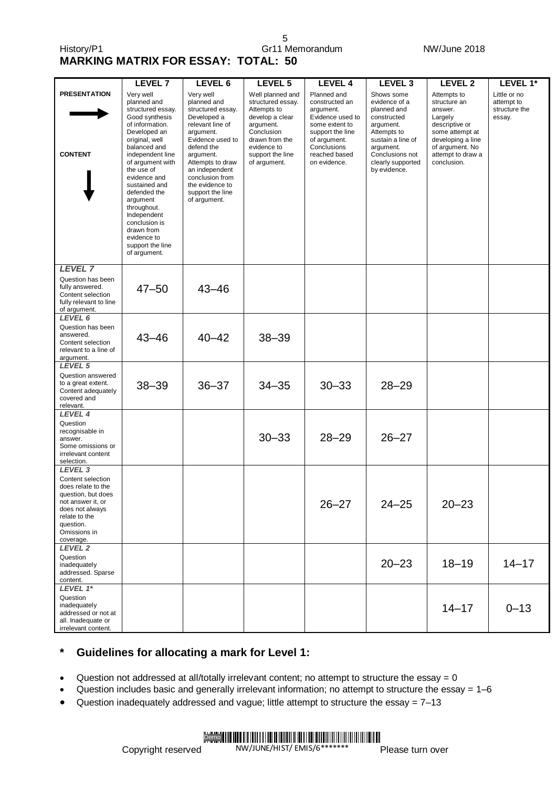5 History/P1 Gr11 Memorandum Gr11 Memorandum NW/June 2018

**MARKING MATRIX FOR ESSAY: TOTAL: 50**

|                                                                                                                                                                                        | <b>LEVEL 7</b>                                                                                                                                                                                                                                                                                                                                                          | LEVEL 6                                                                                                                                                                                                                                                      | LEVEL 5                                                                                                                                                                 | <b>LEVEL 4</b>                                                                                                                                                       | LEVEL <sub>3</sub>                                                                                                                                                              | LEVEL 2                                                                                                                                                            | LEVEL 1*                                              |
|----------------------------------------------------------------------------------------------------------------------------------------------------------------------------------------|-------------------------------------------------------------------------------------------------------------------------------------------------------------------------------------------------------------------------------------------------------------------------------------------------------------------------------------------------------------------------|--------------------------------------------------------------------------------------------------------------------------------------------------------------------------------------------------------------------------------------------------------------|-------------------------------------------------------------------------------------------------------------------------------------------------------------------------|----------------------------------------------------------------------------------------------------------------------------------------------------------------------|---------------------------------------------------------------------------------------------------------------------------------------------------------------------------------|--------------------------------------------------------------------------------------------------------------------------------------------------------------------|-------------------------------------------------------|
| <b>PRESENTATION</b><br><b>CONTENT</b>                                                                                                                                                  | Very well<br>planned and<br>structured essay.<br>Good synthesis<br>of information.<br>Developed an<br>original, well<br>balanced and<br>independent line<br>of argument with<br>the use of<br>evidence and<br>sustained and<br>defended the<br>argument<br>throughout.<br>Independent<br>conclusion is<br>drawn from<br>evidence to<br>support the line<br>of argument. | Very well<br>planned and<br>structured essay.<br>Developed a<br>relevant line of<br>argument.<br>Evidence used to<br>defend the<br>argument.<br>Attempts to draw<br>an independent<br>conclusion from<br>the evidence to<br>support the line<br>of argument. | Well planned and<br>structured essay.<br>Attempts to<br>develop a clear<br>argument.<br>Conclusion<br>drawn from the<br>evidence to<br>support the line<br>of argument. | Planned and<br>constructed an<br>argument.<br>Evidence used to<br>some extent to<br>support the line<br>of argument.<br>Conclusions<br>reached based<br>on evidence. | Shows some<br>evidence of a<br>planned and<br>constructed<br>argument.<br>Attempts to<br>sustain a line of<br>argument.<br>Conclusions not<br>clearly supported<br>by evidence. | Attempts to<br>structure an<br>answer.<br>Largely<br>descriptive or<br>some attempt at<br>developing a line<br>of argument. No<br>attempt to draw a<br>conclusion. | Little or no<br>attempt to<br>structure the<br>essay. |
| <b>LEVEL 7</b><br>Question has been<br>fully answered.<br>Content selection<br>fully relevant to line<br>of argument.                                                                  | $47 - 50$                                                                                                                                                                                                                                                                                                                                                               | $43 - 46$                                                                                                                                                                                                                                                    |                                                                                                                                                                         |                                                                                                                                                                      |                                                                                                                                                                                 |                                                                                                                                                                    |                                                       |
| LEVEL 6<br>Question has been<br>answered.<br>Content selection<br>relevant to a line of<br>argument.                                                                                   | $43 - 46$                                                                                                                                                                                                                                                                                                                                                               | $40 - 42$                                                                                                                                                                                                                                                    | $38 - 39$                                                                                                                                                               |                                                                                                                                                                      |                                                                                                                                                                                 |                                                                                                                                                                    |                                                       |
| LEVEL 5<br>Question answered<br>to a great extent.<br>Content adequately<br>covered and<br>relevant.                                                                                   | $38 - 39$                                                                                                                                                                                                                                                                                                                                                               | $36 - 37$                                                                                                                                                                                                                                                    | $34 - 35$                                                                                                                                                               | $30 - 33$                                                                                                                                                            | $28 - 29$                                                                                                                                                                       |                                                                                                                                                                    |                                                       |
| LEVEL 4<br>Question<br>recognisable in<br>answer.<br>Some omissions or<br>irrelevant content<br>selection.                                                                             |                                                                                                                                                                                                                                                                                                                                                                         |                                                                                                                                                                                                                                                              | $30 - 33$                                                                                                                                                               | $28 - 29$                                                                                                                                                            | $26 - 27$                                                                                                                                                                       |                                                                                                                                                                    |                                                       |
| LEVEL <sub>3</sub><br>Content selection<br>does relate to the<br>question, but does<br>not answer it, or<br>does not always<br>relate to the<br>question.<br>Omissions in<br>coverage. |                                                                                                                                                                                                                                                                                                                                                                         |                                                                                                                                                                                                                                                              |                                                                                                                                                                         | $26 - 27$                                                                                                                                                            | $24 - 25$                                                                                                                                                                       | $20 - 23$                                                                                                                                                          |                                                       |
| LEVEL 2<br>Question<br>inadequately<br>addressed. Sparse<br>content.                                                                                                                   |                                                                                                                                                                                                                                                                                                                                                                         |                                                                                                                                                                                                                                                              |                                                                                                                                                                         |                                                                                                                                                                      | $20 - 23$                                                                                                                                                                       | $18 - 19$                                                                                                                                                          | $14 - 17$                                             |
| LEVEL $1*$<br>Question<br>inadequately<br>addressed or not at<br>all. Inadequate or<br>irrelevant content.                                                                             |                                                                                                                                                                                                                                                                                                                                                                         |                                                                                                                                                                                                                                                              |                                                                                                                                                                         |                                                                                                                                                                      |                                                                                                                                                                                 | $14 - 17$                                                                                                                                                          | $0 - 13$                                              |

#### **\* Guidelines for allocating a mark for Level 1:**

 $\bullet$  Question not addressed at all/totally irrelevant content; no attempt to structure the essay = 0

- Question includes basic and generally irrelevant information; no attempt to structure the essay = 1–6
- $\bullet$  Question inadequately addressed and vague; little attempt to structure the essay =  $7-13$

Demo I III MII II TULLI LAMI II MILLI LAMI II MILLI LAMI III MILLI LAMI III MILLI LA NW/JUNE/HIST/ EMIS/6\*\*\*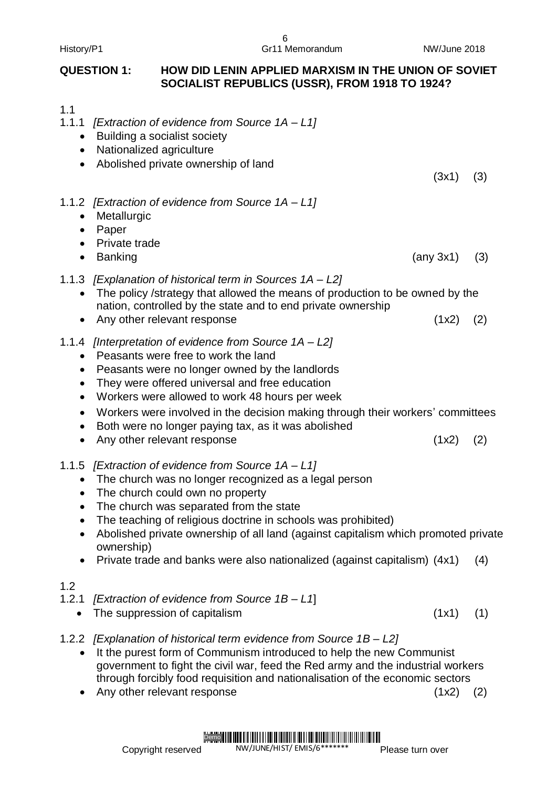### **QUESTION 1: HOW DID LENIN APPLIED MARXISM IN THE UNION OF SOVIET SOCIALIST REPUBLICS (USSR), FROM 1918 TO 1924?**

6

1.1

- 1.1.1 *[Extraction of evidence from Source 1A – L1]*
	- Building a socialist society
	- Nationalized agriculture
	- Abolished private ownership of land

(3x1) (3)

#### 1.1.2 *[Extraction of evidence from Source 1A – L1]*

- Metallurgic
- Paper
- Private trade

Banking  $(3)$ 

- 1.1.3 *[Explanation of historical term in Sources 1A – L2]*
	- The policy /strategy that allowed the means of production to be owned by the nation, controlled by the state and to end private ownership
	- Any other relevant response (1x2) (2)
- 1.1.4 *[Interpretation of evidence from Source 1A – L2]*
	- Peasants were free to work the land
	- Peasants were no longer owned by the landlords
	- They were offered universal and free education
	- Workers were allowed to work 48 hours per week
	- Workers were involved in the decision making through their workers' committees
	- Both were no longer paying tax, as it was abolished
	- Any other relevant response (1x2) (2)
- 1.1.5 *[Extraction of evidence from Source 1A – L1]*
	- The church was no longer recognized as a legal person
	- The church could own no property
	- The church was separated from the state
	- The teaching of religious doctrine in schools was prohibited)
	- Abolished private ownership of all land (against capitalism which promoted private ownership)
	- Private trade and banks were also nationalized (against capitalism) (4x1) (4)

#### 1.2

- 1.2.1 *[Extraction of evidence from Source 1B – L1*]
	- The suppression of capitalism (1x1) (1)
- 1.2.2 *[Explanation of historical term evidence from Source 1B – L2]*
	- It the purest form of Communism introduced to help the new Communist government to fight the civil war, feed the Red army and the industrial workers through forcibly food requisition and nationalisation of the economic sectors
	- Any other relevant response (1x2) (2)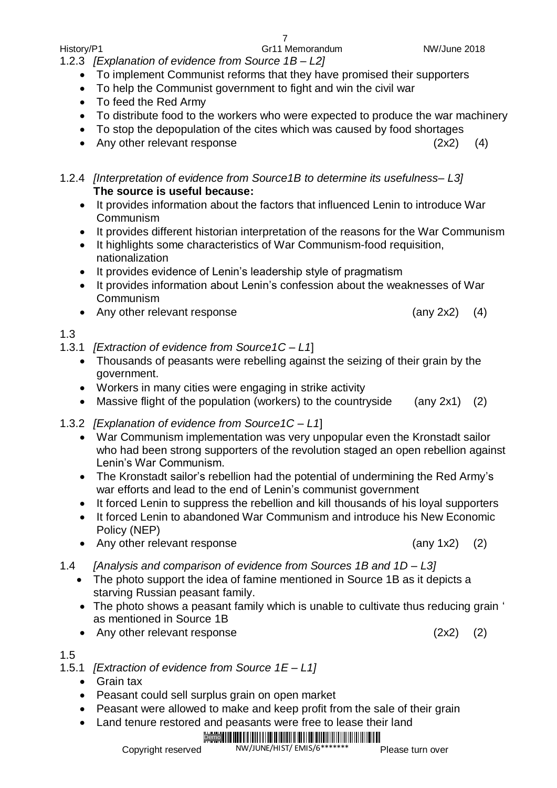History/P1 Gr11 Memorandum NW/June 2018

1.2.3 *[Explanation of evidence from Source 1B – L2]*

- To implement Communist reforms that they have promised their supporters
- To help the Communist government to fight and win the civil war
- To feed the Red Army
- To distribute food to the workers who were expected to produce the war machinery
- To stop the depopulation of the cites which was caused by food shortages
- Any other relevant response (2x2) (4)
- 1.2.4 *[Interpretation of evidence from Source1B to determine its usefulness– L3]* **The source is useful because:**
	- It provides information about the factors that influenced Lenin to introduce War Communism
	- It provides different historian interpretation of the reasons for the War Communism
	- It highlights some characteristics of War Communism-food requisition, nationalization
	- It provides evidence of Lenin's leadership style of pragmatism
	- It provides information about Lenin's confession about the weaknesses of War Communism
	- Any other relevant response (any 2x2) (4)

#### 1.3

- 1.3.1 *[Extraction of evidence from Source1C – L1*]
	- Thousands of peasants were rebelling against the seizing of their grain by the government.
	- Workers in many cities were engaging in strike activity
	- Massive flight of the population (workers) to the countryside (any 2x1) (2)
- 1.3.2 *[Explanation of evidence from Source1C – L1*]
	- War Communism implementation was very unpopular even the Kronstadt sailor who had been strong supporters of the revolution staged an open rebellion against Lenin's War Communism.
	- The Kronstadt sailor's rebellion had the potential of undermining the Red Army's war efforts and lead to the end of Lenin's communist government
	- It forced Lenin to suppress the rebellion and kill thousands of his loyal supporters
	- It forced Lenin to abandoned War Communism and introduce his New Economic Policy (NEP)
	- Any other relevant response (any 1x2) (2)
- 1.4 *[Analysis and comparison of evidence from Sources 1B and 1D – L3]*
	- The photo support the idea of famine mentioned in Source 1B as it depicts a starving Russian peasant family.
	- The photo shows a peasant family which is unable to cultivate thus reducing grain ' as mentioned in Source 1B
	- Any other relevant response (2x2) (2)

### 1.5

- 1.5.1 *[Extraction of evidence from Source 1E – L1]*
	- Grain tax
	- Peasant could sell surplus grain on open market
	- Peasant were allowed to make and keep profit from the sale of their grain
		- Land tenure restored and peasants were free to lease their land

#### Demo<sup>1</sup> NW/JUNE/HIST/ EMIS/6\*\*

Copyright reserved

Please turn over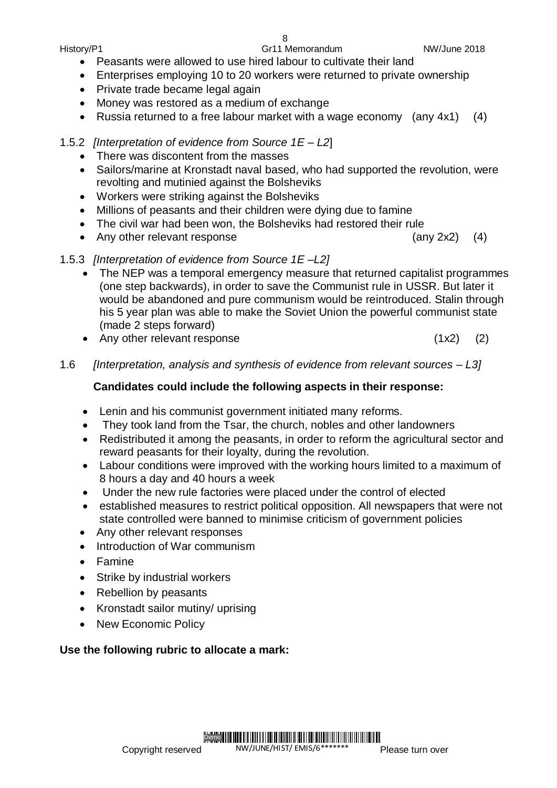Demo<sup>II</sup>

- Private trade became legal again
- Money was restored as a medium of exchange
- Russia returned to a free labour market with a wage economy (any 4x1) (4)
- 1.5.2 *[Interpretation of evidence from Source 1E – L2*]
	- There was discontent from the masses
	- Sailors/marine at Kronstadt naval based, who had supported the revolution, were revolting and mutinied against the Bolsheviks
	- Workers were striking against the Bolsheviks
	- Millions of peasants and their children were dying due to famine
	- The civil war had been won, the Bolsheviks had restored their rule
	- Any other relevant response (any 2x2) (4)
- 1.5.3 *[Interpretation of evidence from Source 1E –L2]*
	- The NEP was a temporal emergency measure that returned capitalist programmes (one step backwards), in order to save the Communist rule in USSR. But later it would be abandoned and pure communism would be reintroduced. Stalin through his 5 year plan was able to make the Soviet Union the powerful communist state (made 2 steps forward)
	- Any other relevant response (1x2) (2)
- 1.6 *[Interpretation, analysis and synthesis of evidence from relevant sources – L3]*

## **Candidates could include the following aspects in their response:**

- Lenin and his communist government initiated many reforms.
- They took land from the Tsar, the church, nobles and other landowners
- Redistributed it among the peasants, in order to reform the agricultural sector and reward peasants for their loyalty, during the revolution.
- Labour conditions were improved with the working hours limited to a maximum of 8 hours a day and 40 hours a week
- Under the new rule factories were placed under the control of elected
- established measures to restrict political opposition. All newspapers that were not state controlled were banned to minimise criticism of government policies

NW/JUNE/HIST/ EMIS/6\*\*

T IN THE IN THE INITIAL IN IN THE THE INTERNATIONAL TELEVISION OF THE THE T

- Any other relevant responses
- Introduction of War communism
- Famine
- Strike by industrial workers
- Rebellion by peasants
- Kronstadt sailor mutiny/ uprising
- New Economic Policy

## **Use the following rubric to allocate a mark:**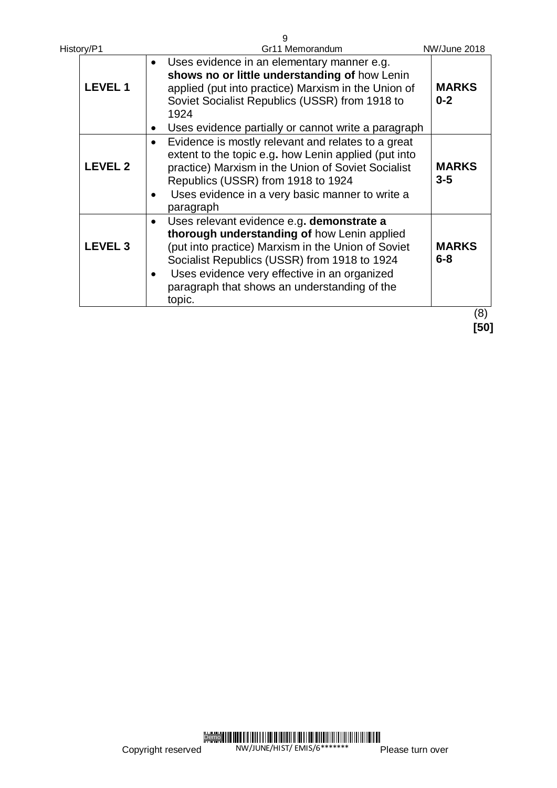| History/P1     | 9<br>Gr11 Memorandum                                                                                                                                                                                                                                                                                     | NW/June 2018            |
|----------------|----------------------------------------------------------------------------------------------------------------------------------------------------------------------------------------------------------------------------------------------------------------------------------------------------------|-------------------------|
| <b>LEVEL 1</b> | Uses evidence in an elementary manner e.g.<br>shows no or little understanding of how Lenin<br>applied (put into practice) Marxism in the Union of<br>Soviet Socialist Republics (USSR) from 1918 to<br>1924<br>Uses evidence partially or cannot write a paragraph                                      | <b>MARKS</b><br>$0 - 2$ |
| <b>LEVEL 2</b> | Evidence is mostly relevant and relates to a great<br>extent to the topic e.g. how Lenin applied (put into<br>practice) Marxism in the Union of Soviet Socialist<br>Republics (USSR) from 1918 to 1924<br>Uses evidence in a very basic manner to write a<br>paragraph                                   | <b>MARKS</b><br>$3-5$   |
| <b>LEVEL 3</b> | Uses relevant evidence e.g. demonstrate a<br>thorough understanding of how Lenin applied<br>(put into practice) Marxism in the Union of Soviet<br>Socialist Republics (USSR) from 1918 to 1924<br>Uses evidence very effective in an organized<br>paragraph that shows an understanding of the<br>topic. | <b>MARKS</b><br>$6 - 8$ |
|                |                                                                                                                                                                                                                                                                                                          | (8)                     |

 **[50]**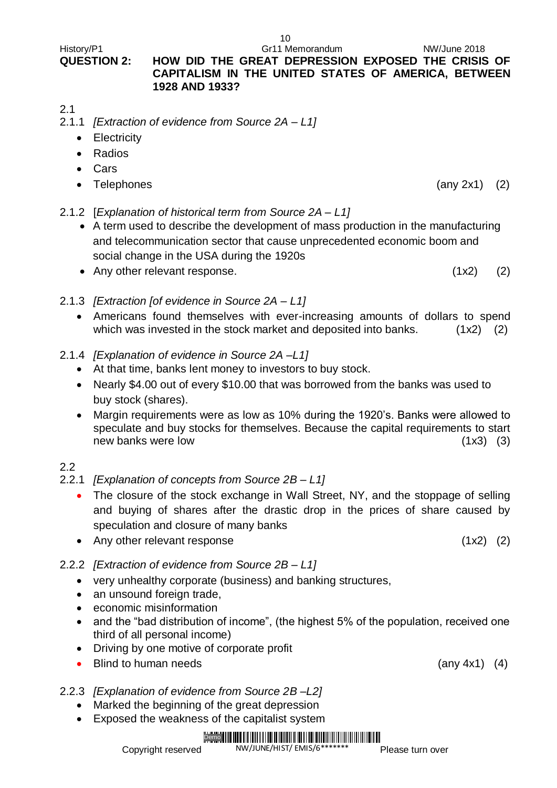#### History/P1 Gr11 Memorandum NW/June 2018 **QUESTION 2: HOW DID THE GREAT DEPRESSION EXPOSED THE CRISIS OF CAPITALISM IN THE UNITED STATES OF AMERICA, BETWEEN 1928 AND 1933?**

2.1

- 2.1.1 *[Extraction of evidence from Source 2A – L1]*
	- Electricity
	- Radios
	- Cars
	- Telephones (any 2x1) (2)
- 2.1.2 [*Explanation of historical term from Source 2A – L1]*
	- A term used to describe the development of mass production in the manufacturing and telecommunication sector that cause unprecedented economic boom and social change in the USA during the 1920s
	- Any other relevant response. (1x2) (2)
		-
- 2.1.3 *[Extraction [of evidence in Source 2A – L1]* Americans found themselves with ever-increasing amounts of dollars to spend which was invested in the stock market and deposited into banks.  $(1x2)$   $(2)$
- 2.1.4 *[Explanation of evidence in Source 2A –L1]*
	- At that time, banks lent money to investors to buy stock.
	- Nearly \$4.00 out of every \$10.00 that was borrowed from the banks was used to buy stock (shares).
	- Margin requirements were as low as 10% during the 1920's. Banks were allowed to speculate and buy stocks for themselves. Because the capital requirements to start new banks were low (1x3) (3)

#### 2.2

- 2.2.1 *[Explanation of concepts from Source 2B – L1]*
	- The closure of the stock exchange in Wall Street, NY, and the stoppage of selling and buying of shares after the drastic drop in the prices of share caused by speculation and closure of many banks
	- Any other relevant response (1x2) (2)
- 2.2.2 *[Extraction of evidence from Source 2B – L1]*
	- very unhealthy corporate (business) and banking structures,
	- an unsound foreign trade.
	- economic misinformation
	- and the "bad distribution of income", (the highest 5% of the population, received one third of all personal income)
	- Driving by one motive of corporate profit
	- Blind to human needs (any 4x1) (4)
- 2.2.3 *[Explanation of evidence from Source 2B –L2]*
	- Marked the beginning of the great depression
	- Exposed the weakness of the capitalist system

#### Demo || ||| <u>. 1988 - 1988 - 1988 - 1988 - 1988 - 1988 - 1988 - 1988 - 1988 - 1988 - 1988 - 1988 - 1988 - 1988 - 1988 - 19</u> NW/JUNE/HIST/ EMIS/6\*\*

Copyright reserved

Please turn over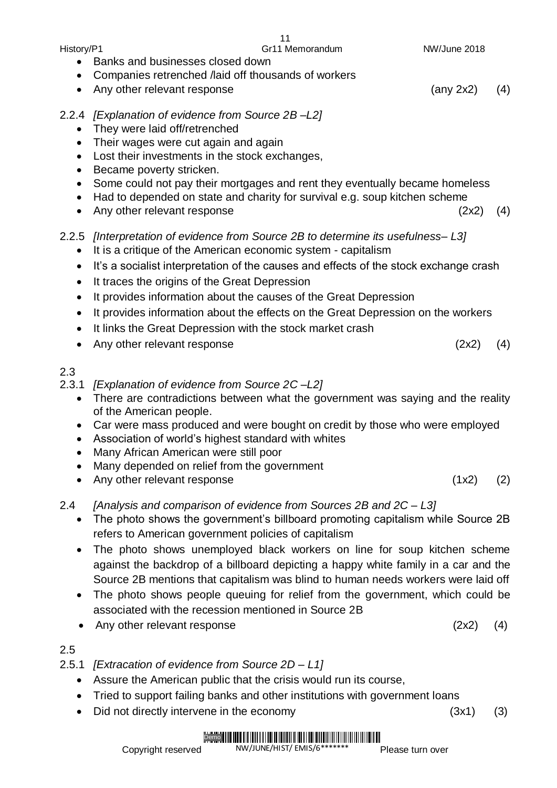| History/P1                                                                               |                                                                                                                                                                                                                                                                                                                                                                                                                                                                                                                                            | Gr11 Memorandum | NW/June 2018        |     |
|------------------------------------------------------------------------------------------|--------------------------------------------------------------------------------------------------------------------------------------------------------------------------------------------------------------------------------------------------------------------------------------------------------------------------------------------------------------------------------------------------------------------------------------------------------------------------------------------------------------------------------------------|-----------------|---------------------|-----|
| $\bullet$<br>$\bullet$                                                                   | Banks and businesses closed down<br>Companies retrenched /laid off thousands of workers<br>Any other relevant response                                                                                                                                                                                                                                                                                                                                                                                                                     |                 | $(\text{any } 2x2)$ | (4) |
| 2.2.4<br>$\bullet$<br>$\bullet$<br>٠<br>٠<br>٠<br>$\bullet$                              | [Explanation of evidence from Source 2B-L2]<br>They were laid off/retrenched<br>Their wages were cut again and again<br>Lost their investments in the stock exchanges,<br>Became poverty stricken.<br>Some could not pay their mortgages and rent they eventually became homeless<br>Had to depended on state and charity for survival e.g. soup kitchen scheme<br>Any other relevant response                                                                                                                                             |                 | (2x2)               | (4) |
| 2.2.5<br>$\bullet$<br>$\bullet$<br>$\bullet$<br>٠<br>$\bullet$<br>$\bullet$<br>$\bullet$ | [Interpretation of evidence from Source 2B to determine its usefulness- L3]<br>It is a critique of the American economic system - capitalism<br>It's a socialist interpretation of the causes and effects of the stock exchange crash<br>It traces the origins of the Great Depression<br>It provides information about the causes of the Great Depression<br>It provides information about the effects on the Great Depression on the workers<br>It links the Great Depression with the stock market crash<br>Any other relevant response |                 | (2x2)               | (4) |
| 2.3<br>2.3.1<br>$\bullet$<br>$\bullet$<br>$\bullet$                                      | [Explanation of evidence from Source 2C-L2]<br>There are contradictions between what the government was saying and the reality<br>of the American people.<br>Car were mass produced and were bought on credit by those who were employed<br>Association of world's highest standard with whites<br>Many African American were still poor<br>Many depended on relief from the government<br>Any other relevant response                                                                                                                     |                 | (1x2)               | (2) |
| 2.4<br>$\bullet$                                                                         | [Analysis and comparison of evidence from Sources 2B and 2C - L3]<br>The photo shows the government's billboard promoting capitalism while Source 2B<br>refers to American government policies of capitalism                                                                                                                                                                                                                                                                                                                               |                 |                     |     |

- The photo shows unemployed black workers on line for soup kitchen scheme against the backdrop of a billboard depicting a happy white family in a car and the Source 2B mentions that capitalism was blind to human needs workers were laid off
- The photo shows people queuing for relief from the government, which could be associated with the recession mentioned in Source 2B
- Any other relevant response (2x2) (4)

2.5

- 2.5.1 *[Extracation of evidence from Source 2D – L1]*
	- Assure the American public that the crisis would run its course,
	- Tried to support failing banks and other institutions with government loans
	- Did not directly intervene in the economy (3x1) (3)

#### Demo **HAHHHHHHHHHHHHHHHH** NW/JUNE/HIST/ EMIS/6\*\*

Please turn over

11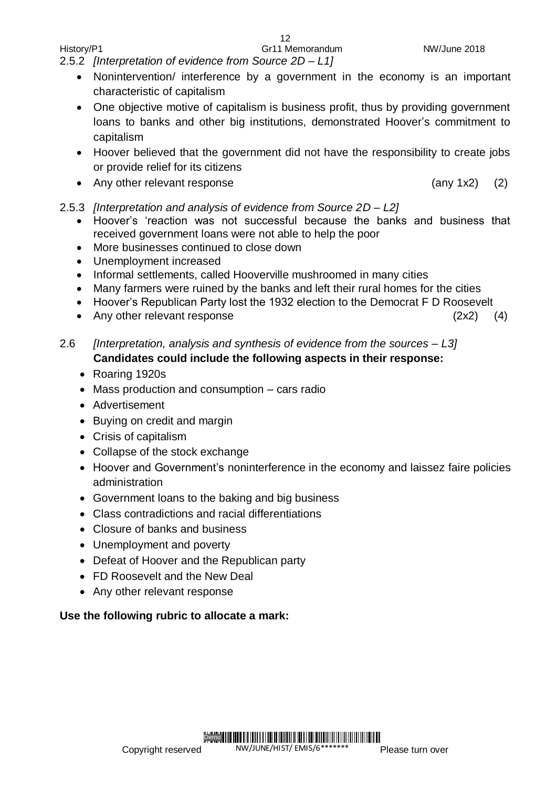2.5.2 *[Interpretation of evidence from Source 2D – L1]*

• Nonintervention/ interference by a government in the economy is an important characteristic of capitalism

12

- One objective motive of capitalism is business profit, thus by providing government loans to banks and other big institutions, demonstrated Hoover's commitment to capitalism
- Hoover believed that the government did not have the responsibility to create jobs or provide relief for its citizens
- Any other relevant response (any 1x2) (2)
- 2.5.3 *[Interpretation and analysis of evidence from Source 2D – L2]*
	- Hoover's 'reaction was not successful because the banks and business that received government loans were not able to help the poor
	- More businesses continued to close down
	- Unemployment increased
	- Informal settlements, called Hooverville mushroomed in many cities
	- Many farmers were ruined by the banks and left their rural homes for the cities
	- Hoover's Republican Party lost the 1932 election to the Democrat F D Roosevelt
	- Any other relevant response (2x2) (4)

#### 2.6 *[Interpretation, analysis and synthesis of evidence from the sources – L3]* **Candidates could include the following aspects in their response:**

- Roaring 1920s
- Mass production and consumption cars radio
- Advertisement
- Buying on credit and margin
- Crisis of capitalism
- Collapse of the stock exchange
- Hoover and Government's noninterference in the economy and laissez faire policies administration
- Government loans to the baking and big business
- Class contradictions and racial differentiations
- Closure of banks and business
- Unemployment and poverty
- Defeat of Hoover and the Republican party
- FD Roosevelt and the New Deal
- Any other relevant response

### **Use the following rubric to allocate a mark:**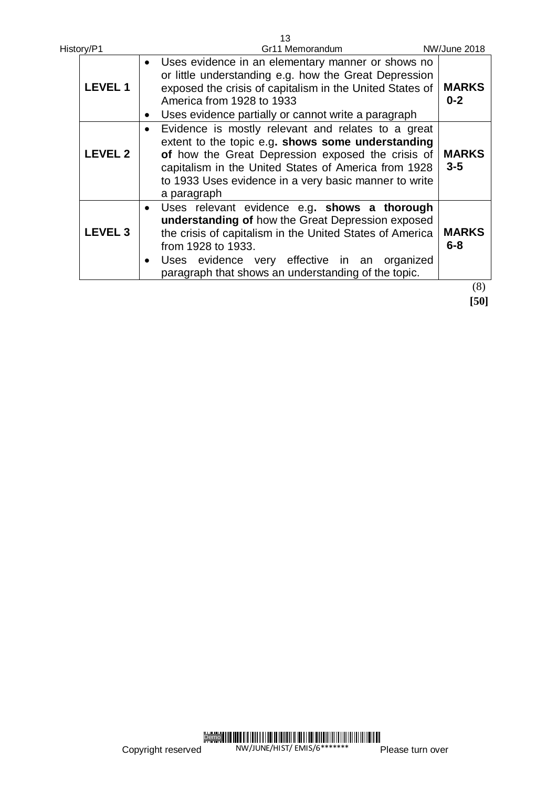| History/P1     | 13<br>Gr11 Memorandum                                                                                                                                                                                                                                                                                   | NW/June 2018            |
|----------------|---------------------------------------------------------------------------------------------------------------------------------------------------------------------------------------------------------------------------------------------------------------------------------------------------------|-------------------------|
| <b>LEVEL 1</b> | Uses evidence in an elementary manner or shows no<br>or little understanding e.g. how the Great Depression<br>exposed the crisis of capitalism in the United States of<br>America from 1928 to 1933<br>Uses evidence partially or cannot write a paragraph                                              | <b>MARKS</b><br>$0 - 2$ |
| <b>LEVEL 2</b> | Evidence is mostly relevant and relates to a great<br>extent to the topic e.g. shows some understanding<br>of how the Great Depression exposed the crisis of<br>capitalism in the United States of America from 1928<br>to 1933 Uses evidence in a very basic manner to write<br>a paragraph            | <b>MARKS</b><br>$3 - 5$ |
| <b>LEVEL 3</b> | Uses relevant evidence e.g. shows a thorough<br>$\bullet$<br>understanding of how the Great Depression exposed<br>the crisis of capitalism in the United States of America<br>from 1928 to 1933.<br>Uses evidence very effective in an organized<br>paragraph that shows an understanding of the topic. | <b>MARKS</b><br>$6 - 8$ |
|                |                                                                                                                                                                                                                                                                                                         | (8)                     |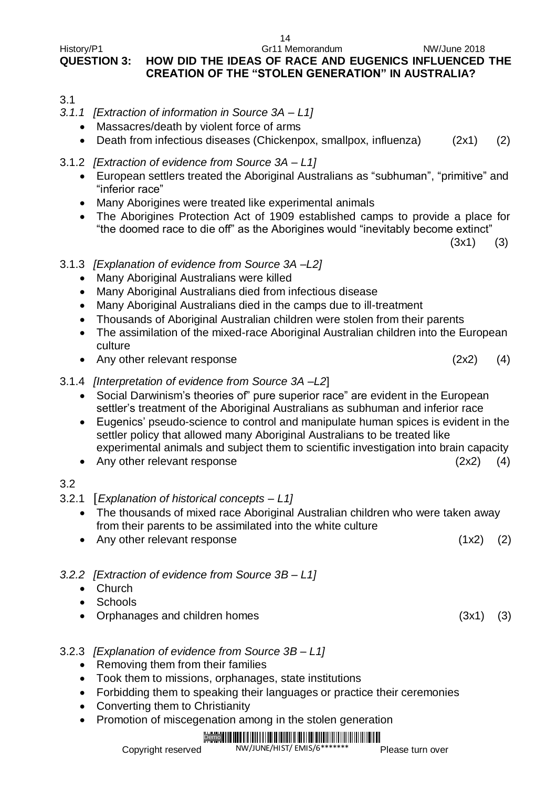14

#### History/P1 Gr11 Memorandum NW/June 2018 **QUESTION 3: HOW DID THE IDEAS OF RACE AND EUGENICS INFLUENCED THE CREATION OF THE "STOLEN GENERATION" IN AUSTRALIA?**

- 3.1
- *3.1.1 [Extraction of information in Source 3A – L1]*
	- Massacres/death by violent force of arms
	- Death from infectious diseases (Chickenpox, smallpox, influenza) (2x1) (2)
- 3.1.2 *[Extraction of evidence from Source 3A – L1]*
	- European settlers treated the Aboriginal Australians as "subhuman", "primitive" and "inferior race"
	- Many Aborigines were treated like experimental animals
	- The Aborigines Protection Act of 1909 established camps to provide a place for "the doomed race to die off" as the Aborigines would "inevitably become extinct"

 $(3x1)$   $(3)$ 

- 3.1.3 *[Explanation of evidence from Source 3A –L2]*
	- Many Aboriginal Australians were killed
	- Many Aboriginal Australians died from infectious disease
	- Many Aboriginal Australians died in the camps due to ill-treatment
	- Thousands of Aboriginal Australian children were stolen from their parents
	- The assimilation of the mixed-race Aboriginal Australian children into the European culture
	- Any other relevant response (2x2) (4)
- 3.1.4 *[Interpretation of evidence from Source 3A –L2*]
	- Social Darwinism's theories of" pure superior race" are evident in the European settler's treatment of the Aboriginal Australians as subhuman and inferior race
	- Eugenics' pseudo-science to control and manipulate human spices is evident in the settler policy that allowed many Aboriginal Australians to be treated like experimental animals and subject them to scientific investigation into brain capacity
	- Any other relevant response (2x2) (4)

## 3.2

- 3.2.1 [*Explanation of historical concepts – L1]*
	- The thousands of mixed race Aboriginal Australian children who were taken away from their parents to be assimilated into the white culture
	- Any other relevant response (1x2) (2)
- *3.2.2 [Extraction of evidence from Source 3B – L1]*
	- Church
	- Schools
	- Orphanages and children homes (3x1) (3)
- 3.2.3 *[Explanation of evidence from Source 3B – L1]*
	- Removing them from their families
	- Took them to missions, orphanages, state institutions
	- Forbidding them to speaking their languages or practice their ceremonies
	- Converting them to Christianity
	- Promotion of miscegenation among in the stolen generation

#### Demo || ||| í Halla í Dalmar hefuð launa í halla hefuð í halla í halla í halla í halla NW/JUNE/HIST/ EMIS/6\*\*

Please turn over

- 
- 
- 
-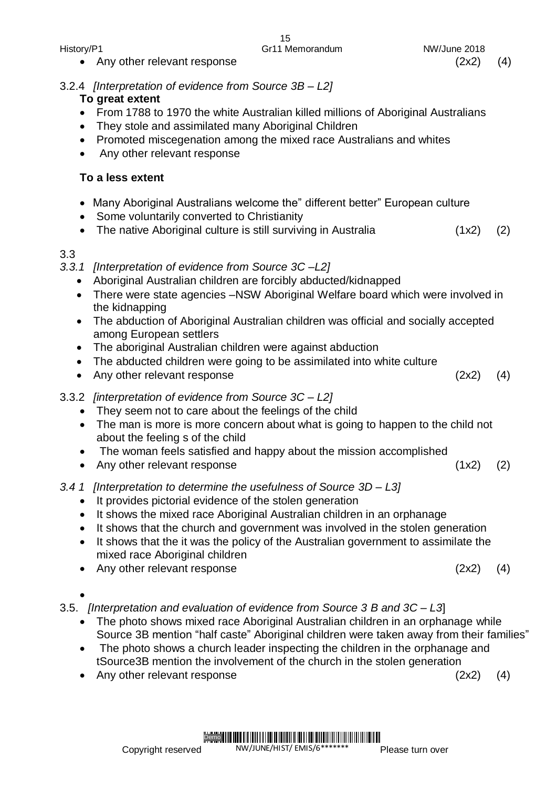• Any other relevant response (2x2) (4)

#### 3.2.4 *[Interpretation of evidence from Source 3B – L2]*

#### **To great extent**

- From 1788 to 1970 the white Australian killed millions of Aboriginal Australians
- They stole and assimilated many Aboriginal Children
- Promoted miscegenation among the mixed race Australians and whites
- Any other relevant response

#### **To a less extent**

- Many Aboriginal Australians welcome the" different better" European culture
- Some voluntarily converted to Christianity
- The native Aboriginal culture is still surviving in Australia (1x2) (2)

#### 3.3

#### *3.3.1 [Interpretation of evidence from Source 3C –L2]*

- Aboriginal Australian children are forcibly abducted/kidnapped
- There were state agencies –NSW Aboriginal Welfare board which were involved in the kidnapping
- The abduction of Aboriginal Australian children was official and socially accepted among European settlers
- The aboriginal Australian children were against abduction
- The abducted children were going to be assimilated into white culture
- Any other relevant response (2x2) (4)
- 3.3.2 *[interpretation of evidence from Source 3C – L2]*
	- They seem not to care about the feelings of the child
	- The man is more is more concern about what is going to happen to the child not about the feeling s of the child
	- The woman feels satisfied and happy about the mission accomplished
	- Any other relevant response (1x2) (2)
- *3.4 1 [Interpretation to determine the usefulness of Source 3D – L3]*
	- It provides pictorial evidence of the stolen generation
	- It shows the mixed race Aboriginal Australian children in an orphanage
	- It shows that the church and government was involved in the stolen generation
	- It shows that the it was the policy of the Australian government to assimilate the mixed race Aboriginal children
	- Any other relevant response (2x2) (4)

 $\bullet$ 

3.5. *[Interpretation and evaluation of evidence from Source 3 B and 3C – L3*]

- The photo shows mixed race Aboriginal Australian children in an orphanage while Source 3B mention "half caste" Aboriginal children were taken away from their families"
- The photo shows a church leader inspecting the children in the orphanage and tSource3B mention the involvement of the church in the stolen generation

• Any other relevant response (2x2) (4)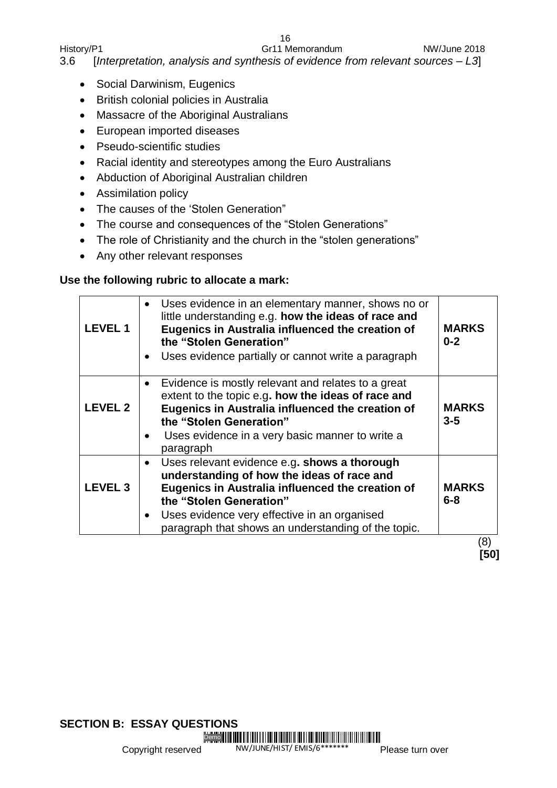16

History/P1 Gr11 Memorandum Gr11 Memorandum NW/June 2018 3.6 [*Interpretation, analysis and synthesis of evidence from relevant sources – L3*]

- Social Darwinism, Eugenics
- British colonial policies in Australia
- Massacre of the Aboriginal Australians
- European imported diseases
- Pseudo-scientific studies
- Racial identity and stereotypes among the Euro Australians
- Abduction of Aboriginal Australian children
- Assimilation policy
- The causes of the 'Stolen Generation"
- The course and consequences of the "Stolen Generations"
- The role of Christianity and the church in the "stolen generations"
- Any other relevant responses

#### **Use the following rubric to allocate a mark:**

| <b>LEVEL1</b>  |           | Uses evidence in an elementary manner, shows no or<br>little understanding e.g. how the ideas of race and<br>Eugenics in Australia influenced the creation of<br>the "Stolen Generation"<br>Uses evidence partially or cannot write a paragraph                                  | <b>MARKS</b><br>$0 - 2$ |
|----------------|-----------|----------------------------------------------------------------------------------------------------------------------------------------------------------------------------------------------------------------------------------------------------------------------------------|-------------------------|
| <b>LEVEL 2</b> |           | Evidence is mostly relevant and relates to a great<br>extent to the topic e.g. how the ideas of race and<br>Eugenics in Australia influenced the creation of<br>the "Stolen Generation"<br>Uses evidence in a very basic manner to write a<br>paragraph                          | <b>MARKS</b><br>$3 - 5$ |
| <b>LEVEL 3</b> | $\bullet$ | Uses relevant evidence e.g. shows a thorough<br>understanding of how the ideas of race and<br>Eugenics in Australia influenced the creation of<br>the "Stolen Generation"<br>Uses evidence very effective in an organised<br>paragraph that shows an understanding of the topic. | <b>MARKS</b><br>$6 - 8$ |
|                |           |                                                                                                                                                                                                                                                                                  | 8)                      |

NW/JUNE/HIST/ EMIS/6\*\*\*

**IF IN THE REAL PROPERTY IN THE REAL PROPERTY AND REAL PROPERTY AND A REAL PROPERTY AND REAL PROPERTY** 

**[50]**

Copyright reserved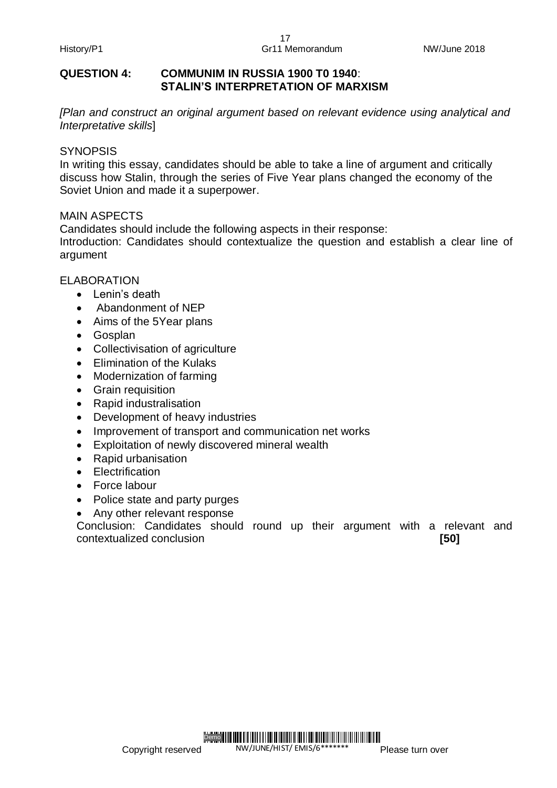#### **QUESTION 4: COMMUNIM IN RUSSIA 1900 T0 1940**: **STALIN'S INTERPRETATION OF MARXISM**

*[Plan and construct an original argument based on relevant evidence using analytical and Interpretative skills*]

#### **SYNOPSIS**

In writing this essay, candidates should be able to take a line of argument and critically discuss how Stalin, through the series of Five Year plans changed the economy of the Soviet Union and made it a superpower.

#### MAIN ASPECTS

Candidates should include the following aspects in their response: Introduction: Candidates should contextualize the question and establish a clear line of argument

#### ELABORATION

- $\bullet$  Lenin's death
- Abandonment of NEP
- Aims of the 5Year plans
- Gosplan
- Collectivisation of agriculture
- Elimination of the Kulaks
- Modernization of farming
- Grain requisition
- Rapid industralisation
- Development of heavy industries
- Improvement of transport and communication net works
- Exploitation of newly discovered mineral wealth
- Rapid urbanisation
- Electrification
- Force labour
- Police state and party purges
- Any other relevant response

Conclusion: Candidates should round up their argument with a relevant and contextualized conclusion **[50]**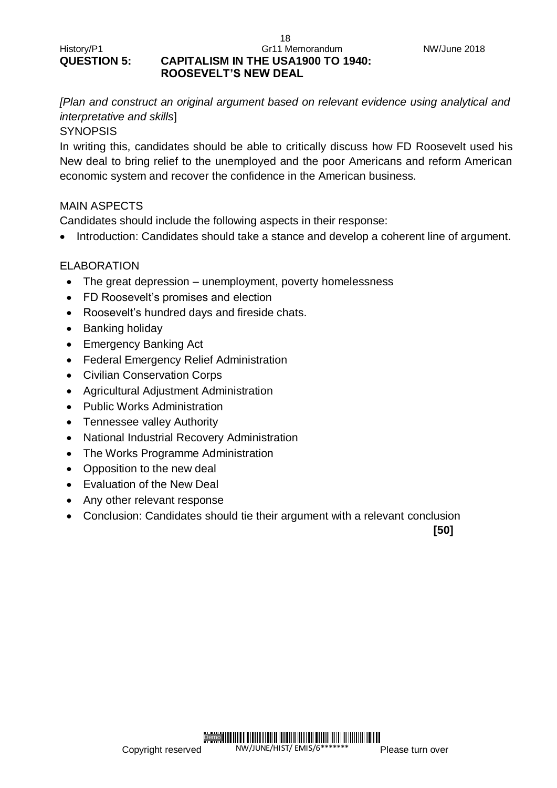#### History/P1 **Gr11 Memorandum** Gr11 Memorandum **QUESTION 5: CAPITALISM IN THE USA1900 TO 1940: ROOSEVELT'S NEW DEAL**

*[Plan and construct an original argument based on relevant evidence using analytical and interpretative and skills*]

18

#### **SYNOPSIS**

In writing this, candidates should be able to critically discuss how FD Roosevelt used his New deal to bring relief to the unemployed and the poor Americans and reform American economic system and recover the confidence in the American business.

#### MAIN ASPECTS

Candidates should include the following aspects in their response:

• Introduction: Candidates should take a stance and develop a coherent line of argument.

#### ELABORATION

- The great depression unemployment, poverty homelessness
- FD Roosevelt's promises and election
- Roosevelt's hundred days and fireside chats.
- Banking holiday
- Emergency Banking Act
- Federal Emergency Relief Administration
- Civilian Conservation Corps
- Agricultural Adjustment Administration
- Public Works Administration
- Tennessee valley Authority
- National Industrial Recovery Administration
- The Works Programme Administration
- Opposition to the new deal
- Evaluation of the New Deal
- Any other relevant response
- Conclusion: Candidates should tie their argument with a relevant conclusion

**[50]**